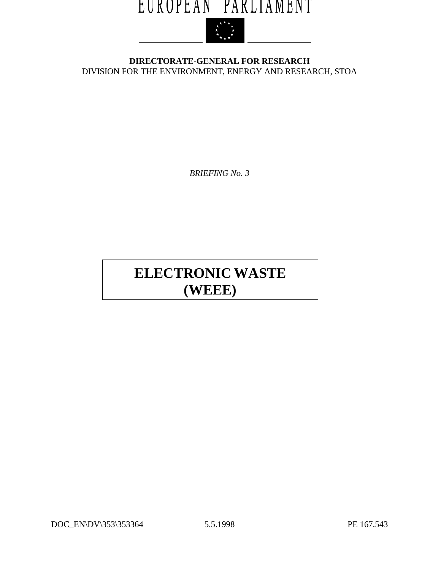# EUROPEAN PARLIAMENT



**DIRECTORATE-GENERAL FOR RESEARCH** DIVISION FOR THE ENVIRONMENT, ENERGY AND RESEARCH, STOA

*BRIEFING No. 3*

## **ELECTRONIC WASTE (WEEE)**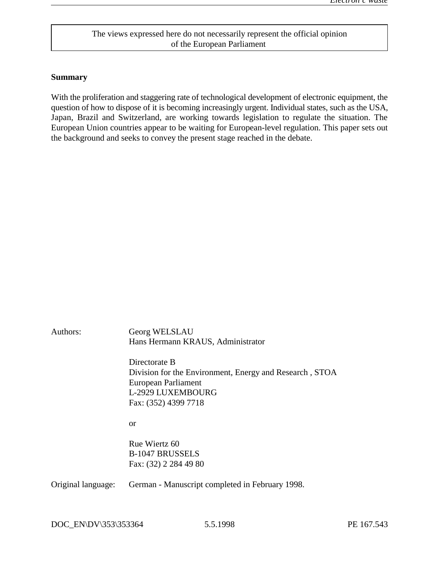## The views expressed here do not necessarily represent the official opinion of the European Parliament

#### **Summary**

With the proliferation and staggering rate of technological development of electronic equipment, the question of how to dispose of it is becoming increasingly urgent. Individual states, such as the USA, Japan, Brazil and Switzerland, are working towards legislation to regulate the situation. The European Union countries appear to be waiting for European-level regulation. This paper sets out the background and seeks to convey the present stage reached in the debate.

| Authors:           | Georg WELSLAU<br>Hans Hermann KRAUS, Administrator                                              |  |
|--------------------|-------------------------------------------------------------------------------------------------|--|
|                    | Directorate B<br>Division for the Environment, Energy and Research, STOA<br>European Parliament |  |
|                    | L-2929 LUXEMBOURG<br>Fax: (352) 4399 7718                                                       |  |
|                    | <sub>or</sub>                                                                                   |  |
|                    | Rue Wiertz 60                                                                                   |  |
|                    | <b>B-1047 BRUSSELS</b><br>Fax: (32) 2 284 49 80                                                 |  |
| Original language: | German - Manuscript completed in February 1998.                                                 |  |
|                    |                                                                                                 |  |

DOC\_EN\DV\353\353364 5.5.1998 PE 167.543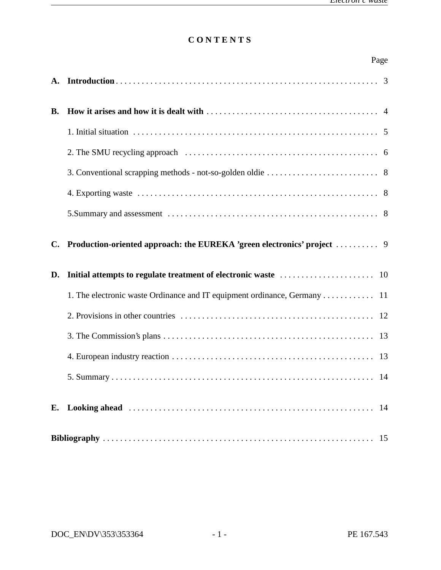## **C O N T E N T S**

|                | Page |
|----------------|------|
| A.             |      |
| <b>B.</b>      |      |
|                |      |
|                |      |
|                |      |
|                |      |
|                |      |
| $\mathbf{C}$ . |      |
| D.             |      |
|                |      |
|                |      |
|                |      |
|                |      |
|                |      |
|                |      |
|                |      |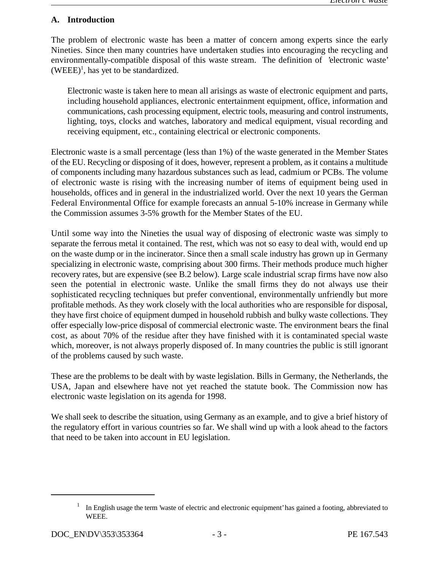### **A. Introduction**

The problem of electronic waste has been a matter of concern among experts since the early Nineties. Since then many countries have undertaken studies into encouraging the recycling and environmentally-compatible disposal of this waste stream. The definition of 'electronic waste'  $(WEEE)^{1}$ , has yet to be standardized.

Electronic waste is taken here to mean all arisings as waste of electronic equipment and parts, including household appliances, electronic entertainment equipment, office, information and communications, cash processing equipment, electric tools, measuring and control instruments, lighting, toys, clocks and watches, laboratory and medical equipment, visual recording and receiving equipment, etc., containing electrical or electronic components.

Electronic waste is a small percentage (less than 1%) of the waste generated in the Member States of the EU. Recycling or disposing of it does, however, represent a problem, as it contains a multitude of components including many hazardous substances such as lead, cadmium or PCBs. The volume of electronic waste is rising with the increasing number of items of equipment being used in households, offices and in general in the industrialized world. Over the next 10 years the German Federal Environmental Office for example forecasts an annual 5-10% increase in Germany while the Commission assumes 3-5% growth for the Member States of the EU.

Until some way into the Nineties the usual way of disposing of electronic waste was simply to separate the ferrous metal it contained. The rest, which was not so easy to deal with, would end up on the waste dump or in the incinerator. Since then a small scale industry has grown up in Germany specializing in electronic waste, comprising about 300 firms. Their methods produce much higher recovery rates, but are expensive (see B.2 below). Large scale industrial scrap firms have now also seen the potential in electronic waste. Unlike the small firms they do not always use their sophisticated recycling techniques but prefer conventional, environmentally unfriendly but more profitable methods. As they work closely with the local authorities who are responsible for disposal, they have first choice of equipment dumped in household rubbish and bulky waste collections. They offer especially low-price disposal of commercial electronic waste. The environment bears the final cost, as about 70% of the residue after they have finished with it is contaminated special waste which, moreover, is not always properly disposed of. In many countries the public is still ignorant of the problems caused by such waste.

These are the problems to be dealt with by waste legislation. Bills in Germany, the Netherlands, the USA, Japan and elsewhere have not yet reached the statute book. The Commission now has electronic waste legislation on its agenda for 1998.

We shall seek to describe the situation, using Germany as an example, and to give a brief history of the regulatory effort in various countries so far. We shall wind up with a look ahead to the factors that need to be taken into account in EU legislation.

In English usage the term 'waste of electric and electronic equipment' has gained a footing, abbreviated to WEEE.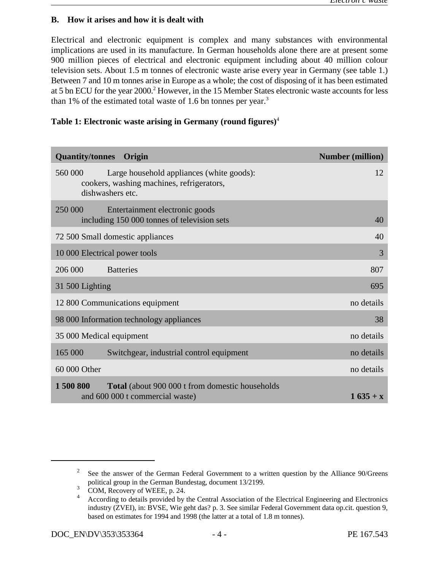#### **B. How it arises and how it is dealt with**

Electrical and electronic equipment is complex and many substances with environmental implications are used in its manufacture. In German households alone there are at present some 900 million pieces of electrical and electronic equipment including about 40 million colour television sets. About 1.5 m tonnes of electronic waste arise every year in Germany (see table 1.) Between 7 and 10 m tonnes arise in Europe as a whole; the cost of disposing of it has been estimated at 5 bn ECU for the year 2000.<sup>2</sup> However, in the 15 Member States electronic waste accounts for less than 1% of the estimated total waste of 1.6 bn tonnes per year.<sup>3</sup>

## **Table 1: Electronic waste arising in Germany (round figures)**<sup>4</sup>

| <b>Quantity/tonnes</b><br>Origin                                                                                      | <b>Number (million)</b> |  |
|-----------------------------------------------------------------------------------------------------------------------|-------------------------|--|
| 560 000<br>Large household appliances (white goods):<br>cookers, washing machines, refrigerators,<br>dishwashers etc. | 12                      |  |
| 250 000<br>Entertainment electronic goods                                                                             |                         |  |
| including 150 000 tonnes of television sets                                                                           | 40                      |  |
| 72 500 Small domestic appliances<br>40                                                                                |                         |  |
| 10 000 Electrical power tools                                                                                         | 3                       |  |
| 206 000<br><b>Batteries</b>                                                                                           | 807                     |  |
| 31 500 Lighting<br>695                                                                                                |                         |  |
| 12 800 Communications equipment<br>no details                                                                         |                         |  |
| 98 000 Information technology appliances<br>38                                                                        |                         |  |
| 35 000 Medical equipment<br>no details                                                                                |                         |  |
| 165 000<br>Switchgear, industrial control equipment                                                                   | no details              |  |
| 60 000 Other                                                                                                          | no details              |  |
| 1 500 800<br><b>Total</b> (about 900 000 t from domestic households<br>and 600 000 t commercial waste)                | $1635 + x$              |  |

 $\degree$  See the answer of the German Federal Government to a written question by the Alliance 90/Greens political group in the German Bundestag, document 13/2199.

 $\frac{3}{2}$  COM, Recovery of WEEE, p. 24.

According to details provided by the Central Association of the Electrical Engineering and Electronics <sup>4</sup> industry (ZVEI), in: BVSE, Wie geht das? p. 3. See similar Federal Government data op.cit. question 9, based on estimates for 1994 and 1998 (the latter at a total of 1.8 m tonnes).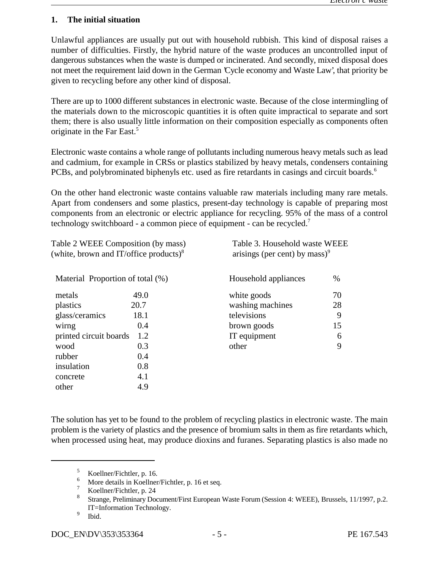#### **1. The initial situation**

Unlawful appliances are usually put out with household rubbish. This kind of disposal raises a number of difficulties. Firstly, the hybrid nature of the waste produces an uncontrolled input of dangerous substances when the waste is dumped or incinerated. And secondly, mixed disposal does not meet the requirement laid down in the German 'Cycle economy and Waste Law', that priority be given to recycling before any other kind of disposal.

There are up to 1000 different substances in electronic waste. Because of the close intermingling of the materials down to the microscopic quantities it is often quite impractical to separate and sort them; there is also usually little information on their composition especially as components often originate in the Far East.5

Electronic waste contains a whole range of pollutants including numerous heavy metals such as lead and cadmium, for example in CRSs or plastics stabilized by heavy metals, condensers containing PCBs, and polybrominated biphenyls etc. used as fire retardants in casings and circuit boards.<sup>6</sup>

On the other hand electronic waste contains valuable raw materials including many rare metals. Apart from condensers and some plastics, present-day technology is capable of preparing most components from an electronic or electric appliance for recycling. 95% of the mass of a control technology switchboard - a common piece of equipment - can be recycled.7

| Table 2 WEEE Composition (by mass)<br>(white, brown and IT/office products) $8$ |      | Table 3. Household waste WEEE<br>arisings (per cent) by mass) <sup>9</sup> |      |
|---------------------------------------------------------------------------------|------|----------------------------------------------------------------------------|------|
| Material Proportion of total (%)                                                |      | Household appliances                                                       | $\%$ |
| metals                                                                          | 49.0 | white goods                                                                | 70   |
| plastics                                                                        | 20.7 | washing machines                                                           | 28   |
| glass/ceramics                                                                  | 18.1 | televisions                                                                | 9    |
| wirng                                                                           | 0.4  | brown goods                                                                | 15   |
| 1.2<br>printed circuit boards                                                   |      | IT equipment                                                               | 6    |
| wood                                                                            | 0.3  | other                                                                      | 9    |
| rubber                                                                          | 0.4  |                                                                            |      |
| insulation                                                                      | 0.8  |                                                                            |      |
| concrete                                                                        | 4.1  |                                                                            |      |
| other                                                                           | 4.9  |                                                                            |      |
|                                                                                 |      |                                                                            |      |

The solution has yet to be found to the problem of recycling plastics in electronic waste. The main problem is the variety of plastics and the presence of bromium salts in them as fire retardants which, when processed using heat, may produce dioxins and furanes. Separating plastics is also made no

 $\frac{5}{6}$  Koellner/Fichtler, p. 16.

 $\frac{6}{7}$  More details in Koellner/Fichtler, p. 16 et seq.

Koellner/Fichtler, p. 24

Strange, Preliminary Document/First European Waste Forum (Session 4: WEEE), Brussels, 11/1997, p.2. <sup>8</sup> IT=Information Technology.

 $9$  Ibid.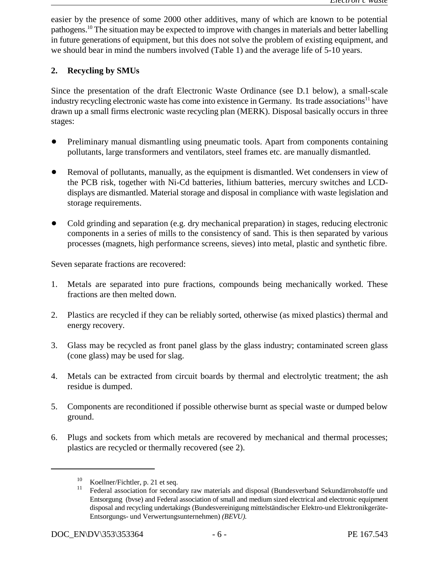easier by the presence of some 2000 other additives, many of which are known to be potential pathogens.<sup>10</sup> The situation may be expected to improve with changes in materials and better labelling in future generations of equipment, but this does not solve the problem of existing equipment, and we should bear in mind the numbers involved (Table 1) and the average life of 5-10 years.

## **2. Recycling by SMUs**

Since the presentation of the draft Electronic Waste Ordinance (see D.1 below), a small-scale industry recycling electronic waste has come into existence in Germany. Its trade associations<sup>11</sup> have drawn up a small firms electronic waste recycling plan (MERK). Disposal basically occurs in three stages:

- Preliminary manual dismantling using pneumatic tools. Apart from components containing pollutants, large transformers and ventilators, steel frames etc. are manually dismantled.
- Removal of pollutants, manually, as the equipment is dismantled. Wet condensers in view of the PCB risk, together with Ni-Cd batteries, lithium batteries, mercury switches and LCDdisplays are dismantled. Material storage and disposal in compliance with waste legislation and storage requirements.
- Cold grinding and separation (e.g. dry mechanical preparation) in stages, reducing electronic components in a series of mills to the consistency of sand. This is then separated by various processes (magnets, high performance screens, sieves) into metal, plastic and synthetic fibre.

Seven separate fractions are recovered:

- 1. Metals are separated into pure fractions, compounds being mechanically worked. These fractions are then melted down.
- 2. Plastics are recycled if they can be reliably sorted, otherwise (as mixed plastics) thermal and energy recovery.
- 3. Glass may be recycled as front panel glass by the glass industry; contaminated screen glass (cone glass) may be used for slag.
- 4. Metals can be extracted from circuit boards by thermal and electrolytic treatment; the ash residue is dumped.
- 5. Components are reconditioned if possible otherwise burnt as special waste or dumped below ground.
- 6. Plugs and sockets from which metals are recovered by mechanical and thermal processes; plastics are recycled or thermally recovered (see 2).

 $^{10}$  Koellner/Fichtler, p. 21 et seq.

Federal association for secondary raw materials and disposal (Bundesverband Sekundärrohstoffe und Entsorgung (bvse) and Federal association of small and medium sized electrical and electronic equipment disposal and recycling undertakings (Bundesvereinigung mittelständischer Elektro-und Elektronikgeräte-Entsorgungs- und Verwertungsunternehmen) *(BEVU).*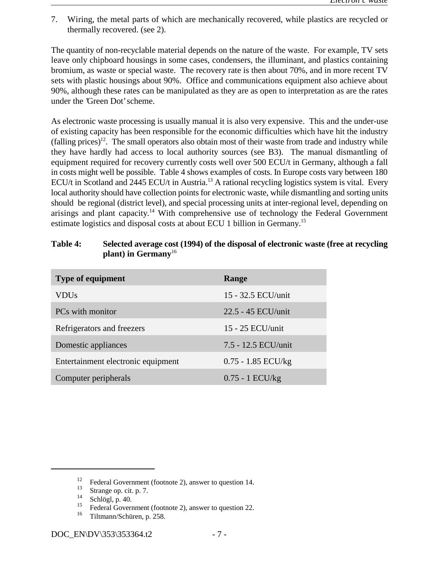7. Wiring, the metal parts of which are mechanically recovered, while plastics are recycled or thermally recovered. (see 2).

The quantity of non-recyclable material depends on the nature of the waste. For example, TV sets leave only chipboard housings in some cases, condensers, the illuminant, and plastics containing bromium, as waste or special waste. The recovery rate is then about 70%, and in more recent TV sets with plastic housings about 90%. Office and communications equipment also achieve about 90%, although these rates can be manipulated as they are as open to interpretation as are the rates under the 'Green Dot' scheme.

As electronic waste processing is usually manual it is also very expensive. This and the under-use of existing capacity has been responsible for the economic difficulties which have hit the industry  $(falling prices)<sup>12</sup>$ . The small operators also obtain most of their waste from trade and industry while they have hardly had access to local authority sources (see B3). The manual dismantling of equipment required for recovery currently costs well over 500 ECU/t in Germany, although a fall in costs might well be possible. Table 4 shows examples of costs. In Europe costs vary between 180 ECU/t in Scotland and 2445 ECU/t in Austria.<sup>13</sup> A rational recycling logistics system is vital. Every local authority should have collection points for electronic waste, while dismantling and sorting units should be regional (district level), and special processing units at inter-regional level, depending on arisings and plant capacity.<sup>14</sup> With comprehensive use of technology the Federal Government estimate logistics and disposal costs at about ECU 1 billion in Germany.15

### **Table 4: Selected average cost (1994) of the disposal of electronic waste (free at recycling plant) in Germany**<sup>16</sup>

| <b>Type of equipment</b>           | Range                |
|------------------------------------|----------------------|
| VDUs                               | 15 - 32.5 ECU/unit   |
| PCs with monitor                   | 22.5 - 45 ECU/unit   |
| Refrigerators and freezers         | 15 - 25 ECU/unit     |
| Domestic appliances                | 7.5 - 12.5 ECU/unit  |
| Entertainment electronic equipment | $0.75 - 1.85$ ECU/kg |
| Computer peripherals               | $0.75 - 1$ ECU/kg    |

<sup>&</sup>lt;sup>12</sup> Federal Government (footnote 2), answer to question 14.<br><sup>13</sup> Strange on sit p. 7

 $\frac{13}{14}$  Strange op. cit. p. 7.

 $\frac{14}{15}$  Schlögl, p. 40.

<sup>&</sup>lt;sup>15</sup> Federal Government (footnote 2), answer to question 22.<br><sup>16</sup> Tiltmann/Schüren n 258

Tiltmann/Schüren, p. 258. <sup>16</sup>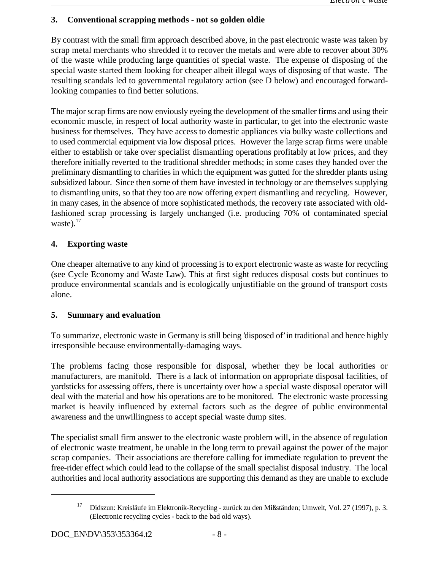## **3. Conventional scrapping methods - not so golden oldie**

By contrast with the small firm approach described above, in the past electronic waste was taken by scrap metal merchants who shredded it to recover the metals and were able to recover about 30% of the waste while producing large quantities of special waste. The expense of disposing of the special waste started them looking for cheaper albeit illegal ways of disposing of that waste. The resulting scandals led to governmental regulatory action (see D below) and encouraged forwardlooking companies to find better solutions.

The major scrap firms are now enviously eyeing the development of the smaller firms and using their economic muscle, in respect of local authority waste in particular, to get into the electronic waste business for themselves. They have access to domestic appliances via bulky waste collections and to used commercial equipment via low disposal prices. However the large scrap firms were unable either to establish or take over specialist dismantling operations profitably at low prices, and they therefore initially reverted to the traditional shredder methods; in some cases they handed over the preliminary dismantling to charities in which the equipment was gutted for the shredder plants using subsidized labour. Since then some of them have invested in technology or are themselves supplying to dismantling units, so that they too are now offering expert dismantling and recycling. However, in many cases, in the absence of more sophisticated methods, the recovery rate associated with oldfashioned scrap processing is largely unchanged (i.e. producing 70% of contaminated special waste). $17$ 

## **4. Exporting waste**

One cheaper alternative to any kind of processing is to export electronic waste as waste for recycling (see Cycle Economy and Waste Law). This at first sight reduces disposal costs but continues to produce environmental scandals and is ecologically unjustifiable on the ground of transport costs alone.

## **5. Summary and evaluation**

To summarize, electronic waste in Germany is still being 'disposed of' in traditional and hence highly irresponsible because environmentally-damaging ways.

The problems facing those responsible for disposal, whether they be local authorities or manufacturers, are manifold. There is a lack of information on appropriate disposal facilities, of yardsticks for assessing offers, there is uncertainty over how a special waste disposal operator will deal with the material and how his operations are to be monitored. The electronic waste processing market is heavily influenced by external factors such as the degree of public environmental awareness and the unwillingness to accept special waste dump sites.

The specialist small firm answer to the electronic waste problem will, in the absence of regulation of electronic waste treatment, be unable in the long term to prevail against the power of the major scrap companies. Their associations are therefore calling for immediate regulation to prevent the free-rider effect which could lead to the collapse of the small specialist disposal industry. The local authorities and local authority associations are supporting this demand as they are unable to exclude

<sup>&</sup>lt;sup>17</sup> Didszun: Kreisläufe im Elektronik-Recycling - zurück zu den Mißständen; Umwelt, Vol. 27 (1997), p. 3. (Electronic recycling cycles - back to the bad old ways).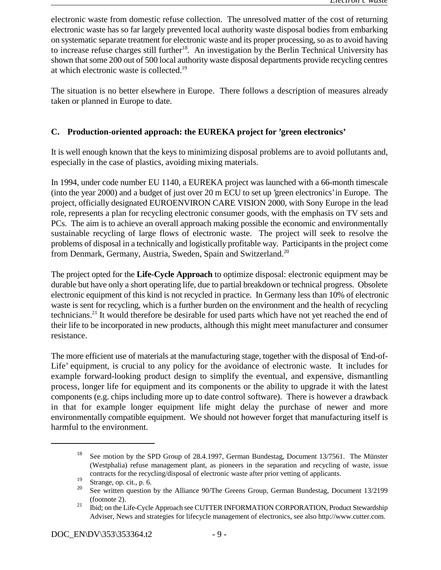electronic waste from domestic refuse collection. The unresolved matter of the cost of returning electronic waste has so far largely prevented local authority waste disposal bodies from embarking on systematic separate treatment for electronic waste and its proper processing, so as to avoid having to increase refuse charges still further<sup>18</sup>. An investigation by the Berlin Technical University has shown that some 200 out of 500 local authority waste disposal departments provide recycling centres at which electronic waste is collected.19

The situation is no better elsewhere in Europe. There follows a description of measures already taken or planned in Europe to date.

## **C. Production-oriented approach: the EUREKA project for 'green electronics'**

It is well enough known that the keys to minimizing disposal problems are to avoid pollutants and, especially in the case of plastics, avoiding mixing materials.

In 1994, under code number EU 1140, a EUREKA project was launched with a 66-month timescale (into the year 2000) and a budget of just over 20 m ECU to set up 'green electronics' in Europe. The project, officially designated EUROENVIRON CARE VISION 2000, with Sony Europe in the lead role, represents a plan for recycling electronic consumer goods, with the emphasis on TV sets and PCs. The aim is to achieve an overall approach making possible the economic and environmentally sustainable recycling of large flows of electronic waste. The project will seek to resolve the problems of disposal in a technically and logistically profitable way. Participants in the project come from Denmark, Germany, Austria, Sweden, Spain and Switzerland.<sup>20</sup>

The project opted for the **Life-Cycle Approach** to optimize disposal: electronic equipment may be durable but have only a short operating life, due to partial breakdown or technical progress. Obsolete electronic equipment of this kind is not recycled in practice. In Germany less than 10% of electronic waste is sent for recycling, which is a further burden on the environment and the health of recycling technicians.<sup>21</sup> It would therefore be desirable for used parts which have not yet reached the end of their life to be incorporated in new products, although this might meet manufacturer and consumer resistance.

The more efficient use of materials at the manufacturing stage, together with the disposal of 'End-of-Life' equipment, is crucial to any policy for the avoidance of electronic waste. It includes for example forward-looking product design to simplify the eventual, and expensive, dismantling process, longer life for equipment and its components or the ability to upgrade it with the latest components (e.g. chips including more up to date control software). There is however a drawback in that for example longer equipment life might delay the purchase of newer and more environmentally compatible equipment. We should not however forget that manufacturing itself is harmful to the environment.

<sup>&</sup>lt;sup>18</sup> See motion by the SPD Group of 28.4.1997, German Bundestag, Document 13/7561. The Münster (Westphalia) refuse management plant, as pioneers in the separation and recycling of waste, issue contracts for the recycling/disposal of electronic waste after prior vetting of applicants.

 $rac{19}{20}$  Strange, op. cit., p. 6.

See written question by the Alliance 90/The Greens Group, German Bundestag, Document 13/2199 (footnote 2).

 $\frac{21}{10}$  ibid; on the Life-Cycle Approach see CUTTER INFORMATION CORPORATION, Product Stewardship Adviser, News and strategies for lifecycle management of electronics, see also http://www.cutter.com.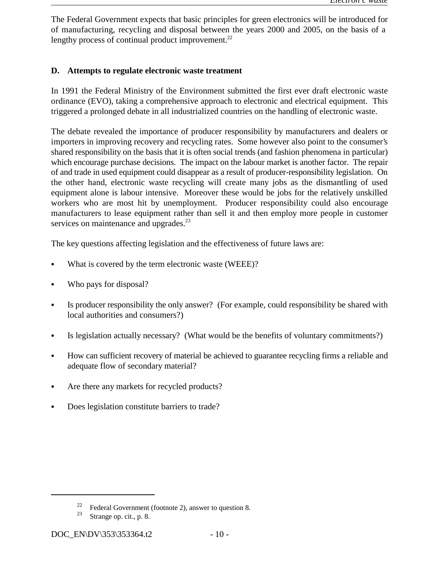The Federal Government expects that basic principles for green electronics will be introduced for of manufacturing, recycling and disposal between the years 2000 and 2005, on the basis of a lengthy process of continual product improvement.<sup>22</sup>

## **D. Attempts to regulate electronic waste treatment**

In 1991 the Federal Ministry of the Environment submitted the first ever draft electronic waste ordinance (EVO), taking a comprehensive approach to electronic and electrical equipment. This triggered a prolonged debate in all industrialized countries on the handling of electronic waste.

The debate revealed the importance of producer responsibility by manufacturers and dealers or importers in improving recovery and recycling rates. Some however also point to the consumer's shared responsibility on the basis that it is often social trends (and fashion phenomena in particular) which encourage purchase decisions. The impact on the labour market is another factor. The repair of and trade in used equipment could disappear as a result of producer-responsibility legislation. On the other hand, electronic waste recycling will create many jobs as the dismantling of used equipment alone is labour intensive. Moreover these would be jobs for the relatively unskilled workers who are most hit by unemployment. Producer responsibility could also encourage manufacturers to lease equipment rather than sell it and then employ more people in customer services on maintenance and upgrades.<sup>23</sup>

The key questions affecting legislation and the effectiveness of future laws are:

- What is covered by the term electronic waste (WEEE)?
- Who pays for disposal?
- Is producer responsibility the only answer? (For example, could responsibility be shared with local authorities and consumers?)
- Is legislation actually necessary? (What would be the benefits of voluntary commitments?)
- How can sufficient recovery of material be achieved to guarantee recycling firms a reliable and adequate flow of secondary material?
- Are there any markets for recycled products?
- Does legislation constitute barriers to trade?

Federal Government (footnote 2), answer to question 8.<br>
Strange on cit n  $\frac{8}{3}$ 

Strange op. cit., p. 8.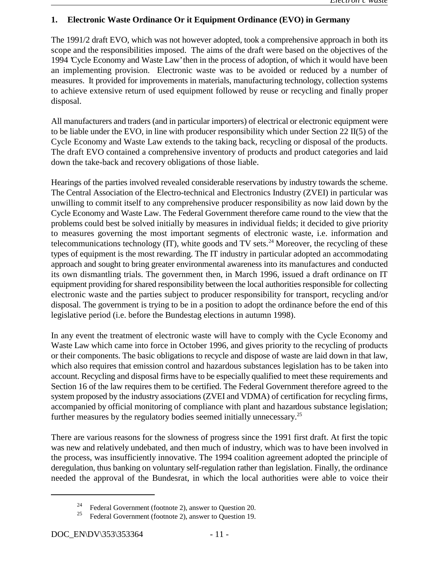## **1. Electronic Waste Ordinance Or it Equipment Ordinance (EVO) in Germany**

The 1991/2 draft EVO, which was not however adopted, took a comprehensive approach in both its scope and the responsibilities imposed. The aims of the draft were based on the objectives of the 1994 'Cycle Economy and Waste Law' then in the process of adoption, of which it would have been an implementing provision. Electronic waste was to be avoided or reduced by a number of measures. It provided for improvements in materials, manufacturing technology, collection systems to achieve extensive return of used equipment followed by reuse or recycling and finally proper disposal.

All manufacturers and traders (and in particular importers) of electrical or electronic equipment were to be liable under the EVO, in line with producer responsibility which under Section 22 II(5) of the Cycle Economy and Waste Law extends to the taking back, recycling or disposal of the products. The draft EVO contained a comprehensive inventory of products and product categories and laid down the take-back and recovery obligations of those liable.

Hearings of the parties involved revealed considerable reservations by industry towards the scheme. The Central Association of the Electro-technical and Electronics Industry (ZVEI) in particular was unwilling to commit itself to any comprehensive producer responsibility as now laid down by the Cycle Economy and Waste Law. The Federal Government therefore came round to the view that the problems could best be solved initially by measures in individual fields; it decided to give priority to measures governing the most important segments of electronic waste, i.e. information and telecommunications technology  $(T)$ , white goods and TV sets.<sup>24</sup> Moreover, the recycling of these types of equipment is the most rewarding. The IT industry in particular adopted an accommodating approach and sought to bring greater environmental awareness into its manufactures and conducted its own dismantling trials. The government then, in March 1996, issued a draft ordinance on IT equipment providing for shared responsibility between the local authorities responsible for collecting electronic waste and the parties subject to producer responsibility for transport, recycling and/or disposal. The government is trying to be in a position to adopt the ordinance before the end of this legislative period (i.e. before the Bundestag elections in autumn 1998).

In any event the treatment of electronic waste will have to comply with the Cycle Economy and Waste Law which came into force in October 1996, and gives priority to the recycling of products or their components. The basic obligations to recycle and dispose of waste are laid down in that law, which also requires that emission control and hazardous substances legislation has to be taken into account. Recycling and disposal firms have to be especially qualified to meet these requirements and Section 16 of the law requires them to be certified. The Federal Government therefore agreed to the system proposed by the industry associations (ZVEI and VDMA) of certification for recycling firms, accompanied by official monitoring of compliance with plant and hazardous substance legislation; further measures by the regulatory bodies seemed initially unnecessary.<sup>25</sup>

There are various reasons for the slowness of progress since the 1991 first draft. At first the topic was new and relatively undebated, and then much of industry, which was to have been involved in the process, was insufficiently innovative. The 1994 coalition agreement adopted the principle of deregulation, thus banking on voluntary self-regulation rather than legislation. Finally, the ordinance needed the approval of the Bundesrat, in which the local authorities were able to voice their

<sup>&</sup>lt;sup>24</sup> Federal Government (footnote 2), answer to Question 20.

<sup>&</sup>lt;sup>25</sup> Federal Government (footnote 2), answer to Question 19.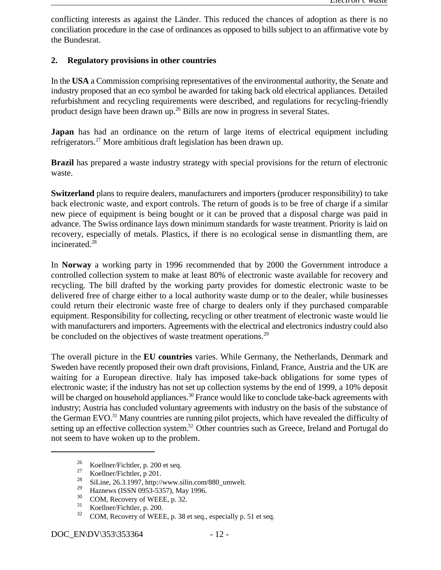conflicting interests as against the Länder. This reduced the chances of adoption as there is no conciliation procedure in the case of ordinances as opposed to bills subject to an affirmative vote by the Bundesrat.

## **2. Regulatory provisions in other countries**

In the **USA** a Commission comprising representatives of the environmental authority, the Senate and industry proposed that an eco symbol be awarded for taking back old electrical appliances. Detailed refurbishment and recycling requirements were described, and regulations for recycling-friendly product design have been drawn up.<sup>26</sup> Bills are now in progress in several States.

**Japan** has had an ordinance on the return of large items of electrical equipment including refrigerators.<sup>27</sup> More ambitious draft legislation has been drawn up.

**Brazil** has prepared a waste industry strategy with special provisions for the return of electronic waste.

**Switzerland** plans to require dealers, manufacturers and importers (producer responsibility) to take back electronic waste, and export controls. The return of goods is to be free of charge if a similar new piece of equipment is being bought or it can be proved that a disposal charge was paid in advance. The Swiss ordinance lays down minimum standards for waste treatment. Priority is laid on recovery, especially of metals. Plastics, if there is no ecological sense in dismantling them, are incinerated.28

In **Norway** a working party in 1996 recommended that by 2000 the Government introduce a controlled collection system to make at least 80% of electronic waste available for recovery and recycling. The bill drafted by the working party provides for domestic electronic waste to be delivered free of charge either to a local authority waste dump or to the dealer, while businesses could return their electronic waste free of charge to dealers only if they purchased comparable equipment. Responsibility for collecting, recycling or other treatment of electronic waste would lie with manufacturers and importers. Agreements with the electrical and electronics industry could also be concluded on the objectives of waste treatment operations.<sup>29</sup>

The overall picture in the **EU countries** varies. While Germany, the Netherlands, Denmark and Sweden have recently proposed their own draft provisions, Finland, France, Austria and the UK are waiting for a European directive. Italy has imposed take-back obligations for some types of electronic waste; if the industry has not set up collection systems by the end of 1999, a 10% deposit will be charged on household appliances.<sup>30</sup> France would like to conclude take-back agreements with industry; Austria has concluded voluntary agreements with industry on the basis of the substance of the German EVO. $^{31}$  Many countries are running pilot projects, which have revealed the difficulty of setting up an effective collection system.<sup>32</sup> Other countries such as Greece, Ireland and Portugal do not seem to have woken up to the problem.

 $\frac{26}{27}$  Koellner/Fichtler, p. 200 et seq.

 $\frac{27}{28}$  Koellner/Fichtler, p 201.

 $\frac{28}{29}$  SiLine, 26.3.1997, http://www.silin.com/880\_umwelt.

 $^{29}$  Haznews (ISSN 0953-5357), May 1996.

 $\frac{30}{31}$  COM, Recovery of WEEE, p. 32.

 $\frac{31}{32}$  Koellner/Fichtler, p. 200.

COM, Recovery of WEEE, p. 38 et seq., especially p. 51 et seq.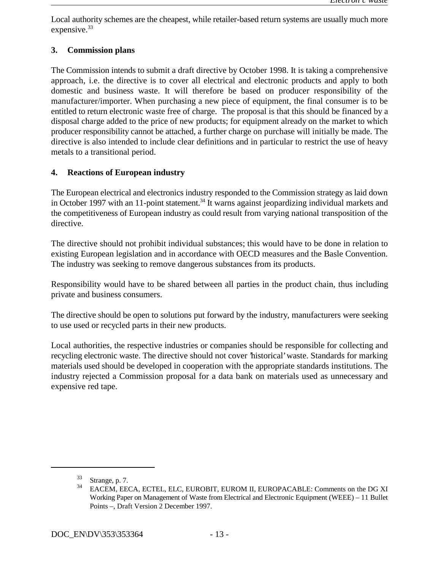Local authority schemes are the cheapest, while retailer-based return systems are usually much more expensive.<sup>33</sup>

## **3. Commission plans**

The Commission intends to submit a draft directive by October 1998. It is taking a comprehensive approach, i.e. the directive is to cover all electrical and electronic products and apply to both domestic and business waste. It will therefore be based on producer responsibility of the manufacturer/importer. When purchasing a new piece of equipment, the final consumer is to be entitled to return electronic waste free of charge. The proposal is that this should be financed by a disposal charge added to the price of new products; for equipment already on the market to which producer responsibility cannot be attached, a further charge on purchase will initially be made. The directive is also intended to include clear definitions and in particular to restrict the use of heavy metals to a transitional period.

## **4. Reactions of European industry**

The European electrical and electronics industry responded to the Commission strategy as laid down in October 1997 with an 11-point statement.<sup>34</sup> It warns against jeopardizing individual markets and the competitiveness of European industry as could result from varying national transposition of the directive.

The directive should not prohibit individual substances; this would have to be done in relation to existing European legislation and in accordance with OECD measures and the Basle Convention. The industry was seeking to remove dangerous substances from its products.

Responsibility would have to be shared between all parties in the product chain, thus including private and business consumers.

The directive should be open to solutions put forward by the industry, manufacturers were seeking to use used or recycled parts in their new products.

Local authorities, the respective industries or companies should be responsible for collecting and recycling electronic waste. The directive should not cover 'historical' waste. Standards for marking materials used should be developed in cooperation with the appropriate standards institutions. The industry rejected a Commission proposal for a data bank on materials used as unnecessary and expensive red tape.

 $33$  Strange, p. 7.

EACEM, EECA, ECTEL, ELC, EUROBIT, EUROM II, EUROPACABLE: Comments on the DG XI Working Paper on Management of Waste from Electrical and Electronic Equipment (WEEE) – 11 Bullet Points –, Draft Version 2 December 1997.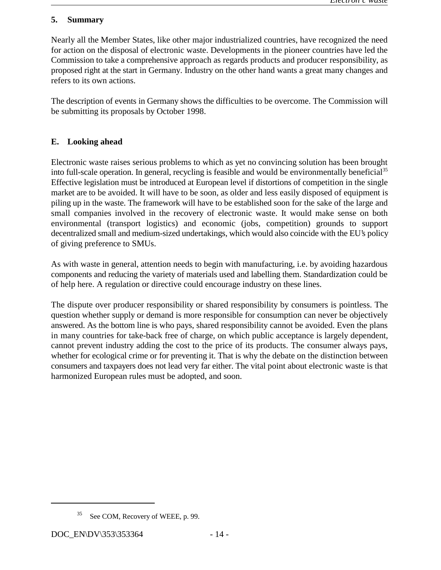#### **5. Summary**

Nearly all the Member States, like other major industrialized countries, have recognized the need for action on the disposal of electronic waste. Developments in the pioneer countries have led the Commission to take a comprehensive approach as regards products and producer responsibility, as proposed right at the start in Germany. Industry on the other hand wants a great many changes and refers to its own actions.

The description of events in Germany shows the difficulties to be overcome. The Commission will be submitting its proposals by October 1998.

## **E. Looking ahead**

Electronic waste raises serious problems to which as yet no convincing solution has been brought into full-scale operation. In general, recycling is feasible and would be environmentally beneficial<sup>35</sup> Effective legislation must be introduced at European level if distortions of competition in the single market are to be avoided. It will have to be soon, as older and less easily disposed of equipment is piling up in the waste. The framework will have to be established soon for the sake of the large and small companies involved in the recovery of electronic waste. It would make sense on both environmental (transport logistics) and economic (jobs, competition) grounds to support decentralized small and medium-sized undertakings, which would also coincide with the EU's policy of giving preference to SMUs.

As with waste in general, attention needs to begin with manufacturing, i.e. by avoiding hazardous components and reducing the variety of materials used and labelling them. Standardization could be of help here. A regulation or directive could encourage industry on these lines.

The dispute over producer responsibility or shared responsibility by consumers is pointless. The question whether supply or demand is more responsible for consumption can never be objectively answered. As the bottom line is who pays, shared responsibility cannot be avoided. Even the plans in many countries for take-back free of charge, on which public acceptance is largely dependent, cannot prevent industry adding the cost to the price of its products. The consumer always pays, whether for ecological crime or for preventing it. That is why the debate on the distinction between consumers and taxpayers does not lead very far either. The vital point about electronic waste is that harmonized European rules must be adopted, and soon.

See COM, Recovery of WEEE, p. 99.